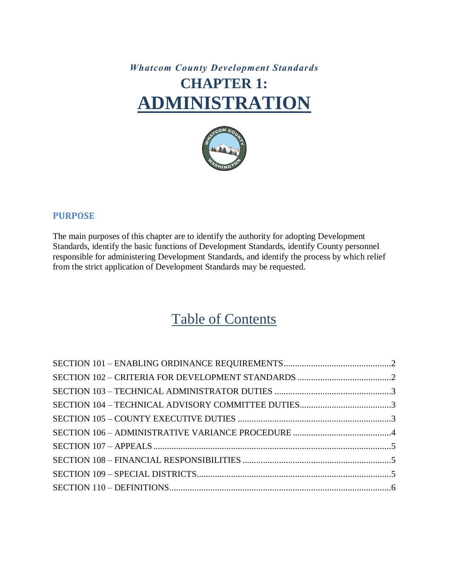# *Whatcom County Development Standards* **CHAPTER 1: ADMINISTRATION**



### **PURPOSE**

The main purposes of this chapter are to identify the authority for adopting Development Standards, identify the basic functions of Development Standards, identify County personnel responsible for administering Development Standards, and identify the process by which relief from the strict application of Development Standards may be requested.

# Table of Contents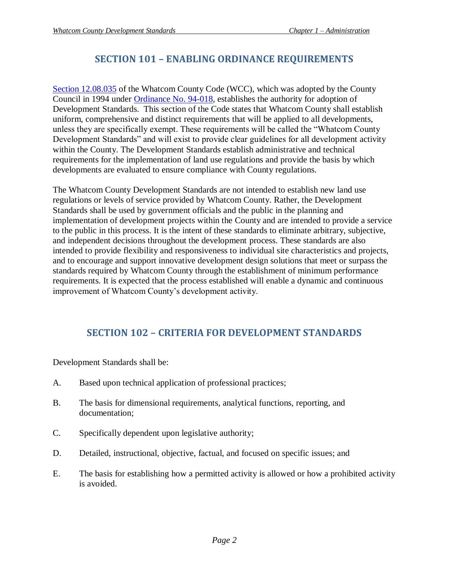# **SECTION 101 – ENABLING ORDINANCE REQUIREMENTS**

<span id="page-1-0"></span>[Section 12.08.035](https://www.codepublishing.com/WA/WhatcomCounty/#!/WhatcomCounty12/WhatcomCounty1208.html) of the Whatcom County Code (WCC), which was adopted by the County Council in 1994 under [Ordinance No. 94-018,](http://documents.whatcomcounty.us/weblink8/0/doc/3278283/Page1.aspx?searchid=99d0dbc6-7259-4e8a-9fd9-078d8bc8cb03) establishes the authority for adoption of Development Standards. This section of the Code states that Whatcom County shall establish uniform, comprehensive and distinct requirements that will be applied to all developments, unless they are specifically exempt. These requirements will be called the "Whatcom County Development Standards" and will exist to provide clear guidelines for all development activity within the County. The Development Standards establish administrative and technical requirements for the implementation of land use regulations and provide the basis by which developments are evaluated to ensure compliance with County regulations.

The Whatcom County Development Standards are not intended to establish new land use regulations or levels of service provided by Whatcom County. Rather, the Development Standards shall be used by government officials and the public in the planning and implementation of development projects within the County and are intended to provide a service to the public in this process. It is the intent of these standards to eliminate arbitrary, subjective, and independent decisions throughout the development process. These standards are also intended to provide flexibility and responsiveness to individual site characteristics and projects, and to encourage and support innovative development design solutions that meet or surpass the standards required by Whatcom County through the establishment of minimum performance requirements. It is expected that the process established will enable a dynamic and continuous improvement of Whatcom County's development activity.

# **SECTION 102 – CRITERIA FOR DEVELOPMENT STANDARDS**

<span id="page-1-1"></span>Development Standards shall be:

- A. Based upon technical application of professional practices;
- B. The basis for dimensional requirements, analytical functions, reporting, and documentation;
- C. Specifically dependent upon legislative authority;
- D. Detailed, instructional, objective, factual, and focused on specific issues; and
- E. The basis for establishing how a permitted activity is allowed or how a prohibited activity is avoided.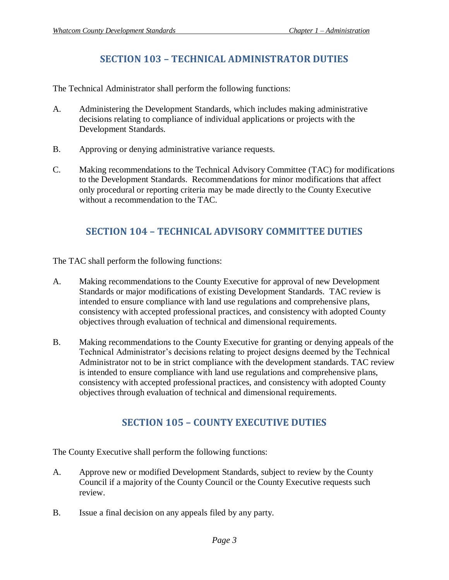## **SECTION 103 – TECHNICAL ADMINISTRATOR DUTIES**

<span id="page-2-0"></span>The Technical Administrator shall perform the following functions:

- A. Administering the Development Standards, which includes making administrative decisions relating to compliance of individual applications or projects with the Development Standards.
- B. Approving or denying administrative variance requests.
- C. Making recommendations to the Technical Advisory Committee (TAC) for modifications to the Development Standards. Recommendations for minor modifications that affect only procedural or reporting criteria may be made directly to the County Executive without a recommendation to the TAC.

## **SECTION 104 – TECHNICAL ADVISORY COMMITTEE DUTIES**

<span id="page-2-1"></span>The TAC shall perform the following functions:

- A. Making recommendations to the County Executive for approval of new Development Standards or major modifications of existing Development Standards. TAC review is intended to ensure compliance with land use regulations and comprehensive plans, consistency with accepted professional practices, and consistency with adopted County objectives through evaluation of technical and dimensional requirements.
- B. Making recommendations to the County Executive for granting or denying appeals of the Technical Administrator's decisions relating to project designs deemed by the Technical Administrator not to be in strict compliance with the development standards. TAC review is intended to ensure compliance with land use regulations and comprehensive plans, consistency with accepted professional practices, and consistency with adopted County objectives through evaluation of technical and dimensional requirements.

## **SECTION 105 – COUNTY EXECUTIVE DUTIES**

<span id="page-2-2"></span>The County Executive shall perform the following functions:

- A. Approve new or modified Development Standards, subject to review by the County Council if a majority of the County Council or the County Executive requests such review.
- B. Issue a final decision on any appeals filed by any party.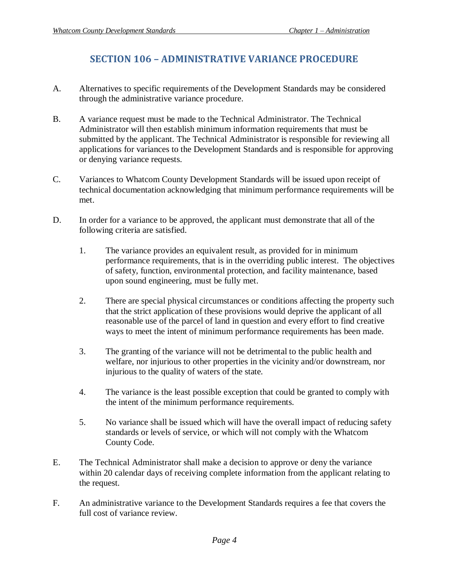## **SECTION 106 – ADMINISTRATIVE VARIANCE PROCEDURE**

- <span id="page-3-0"></span>A. Alternatives to specific requirements of the Development Standards may be considered through the administrative variance procedure.
- B. A variance request must be made to the Technical Administrator. The Technical Administrator will then establish minimum information requirements that must be submitted by the applicant. The Technical Administrator is responsible for reviewing all applications for variances to the Development Standards and is responsible for approving or denying variance requests.
- C. Variances to Whatcom County Development Standards will be issued upon receipt of technical documentation acknowledging that minimum performance requirements will be met.
- D. In order for a variance to be approved, the applicant must demonstrate that all of the following criteria are satisfied.
	- 1. The variance provides an equivalent result, as provided for in minimum performance requirements, that is in the overriding public interest. The objectives of safety, function, environmental protection, and facility maintenance, based upon sound engineering, must be fully met.
	- 2. There are special physical circumstances or conditions affecting the property such that the strict application of these provisions would deprive the applicant of all reasonable use of the parcel of land in question and every effort to find creative ways to meet the intent of minimum performance requirements has been made.
	- 3. The granting of the variance will not be detrimental to the public health and welfare, nor injurious to other properties in the vicinity and/or downstream, nor injurious to the quality of waters of the state.
	- 4. The variance is the least possible exception that could be granted to comply with the intent of the minimum performance requirements.
	- 5. No variance shall be issued which will have the overall impact of reducing safety standards or levels of service, or which will not comply with the Whatcom County Code.
- E. The Technical Administrator shall make a decision to approve or deny the variance within 20 calendar days of receiving complete information from the applicant relating to the request.
- F. An administrative variance to the Development Standards requires a fee that covers the full cost of variance review.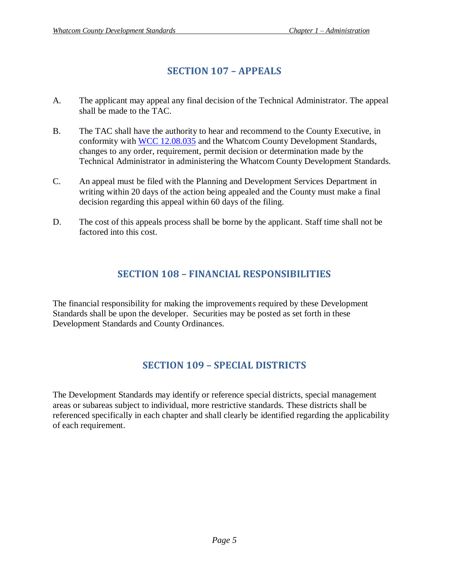## **SECTION 107 – APPEALS**

- <span id="page-4-0"></span>A. The applicant may appeal any final decision of the Technical Administrator. The appeal shall be made to the TAC.
- B. The TAC shall have the authority to hear and recommend to the County Executive, in conformity with [WCC 12.08.035](https://www.codepublishing.com/WA/WhatcomCounty/#!/WhatcomCounty12/WhatcomCounty1208.html) and the Whatcom County Development Standards, changes to any order, requirement, permit decision or determination made by the Technical Administrator in administering the Whatcom County Development Standards.
- C. An appeal must be filed with the Planning and Development Services Department in writing within 20 days of the action being appealed and the County must make a final decision regarding this appeal within 60 days of the filing.
- D. The cost of this appeals process shall be borne by the applicant. Staff time shall not be factored into this cost.

## **SECTION 108 – FINANCIAL RESPONSIBILITIES**

<span id="page-4-1"></span>The financial responsibility for making the improvements required by these Development Standards shall be upon the developer. Securities may be posted as set forth in these Development Standards and County Ordinances.

# **SECTION 109 – SPECIAL DISTRICTS**

<span id="page-4-3"></span><span id="page-4-2"></span>The Development Standards may identify or reference special districts, special management areas or subareas subject to individual, more restrictive standards. These districts shall be referenced specifically in each chapter and shall clearly be identified regarding the applicability of each requirement.